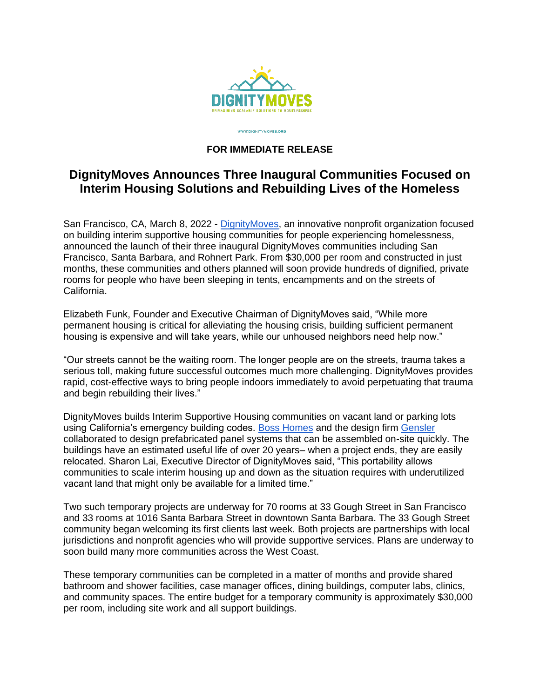

WWW.DIGNITYMOVES.ORG

## **FOR IMMEDIATE RELEASE**

## **DignityMoves Announces Three Inaugural Communities Focused on Interim Housing Solutions and Rebuilding Lives of the Homeless**

San Francisco, CA, March 8, 2022 - [DignityMoves,](https://dignitymoves.org/) an innovative nonprofit organization focused on building interim supportive housing communities for people experiencing homelessness, announced the launch of their three inaugural DignityMoves communities including San Francisco, Santa Barbara, and Rohnert Park. From \$30,000 per room and constructed in just months, these communities and others planned will soon provide hundreds of dignified, private rooms for people who have been sleeping in tents, encampments and on the streets of California.

Elizabeth Funk, Founder and Executive Chairman of DignityMoves said, "While more permanent housing is critical for alleviating the housing crisis, building sufficient permanent housing is expensive and will take years, while our unhoused neighbors need help now."

"Our streets cannot be the waiting room. The longer people are on the streets, trauma takes a serious toll, making future successful outcomes much more challenging. DignityMoves provides rapid, cost-effective ways to bring people indoors immediately to avoid perpetuating that trauma and begin rebuilding their lives."

DignityMoves builds Interim Supportive Housing communities on vacant land or parking lots using California's emergency building codes. [Boss Homes](http://www.bosscubez.com/) and the design firm [Gensler](https://www.gensler.com/) collaborated to design prefabricated panel systems that can be assembled on-site quickly. The buildings have an estimated useful life of over 20 years– when a project ends, they are easily relocated. Sharon Lai, Executive Director of DignityMoves said, "This portability allows communities to scale interim housing up and down as the situation requires with underutilized vacant land that might only be available for a limited time."

Two such temporary projects are underway for 70 rooms at 33 Gough Street in San Francisco and 33 rooms at 1016 Santa Barbara Street in downtown Santa Barbara. The 33 Gough Street community began welcoming its first clients last week. Both projects are partnerships with local jurisdictions and nonprofit agencies who will provide supportive services. Plans are underway to soon build many more communities across the West Coast.

These temporary communities can be completed in a matter of months and provide shared bathroom and shower facilities, case manager offices, dining buildings, computer labs, clinics, and community spaces. The entire budget for a temporary community is approximately \$30,000 per room, including site work and all support buildings.